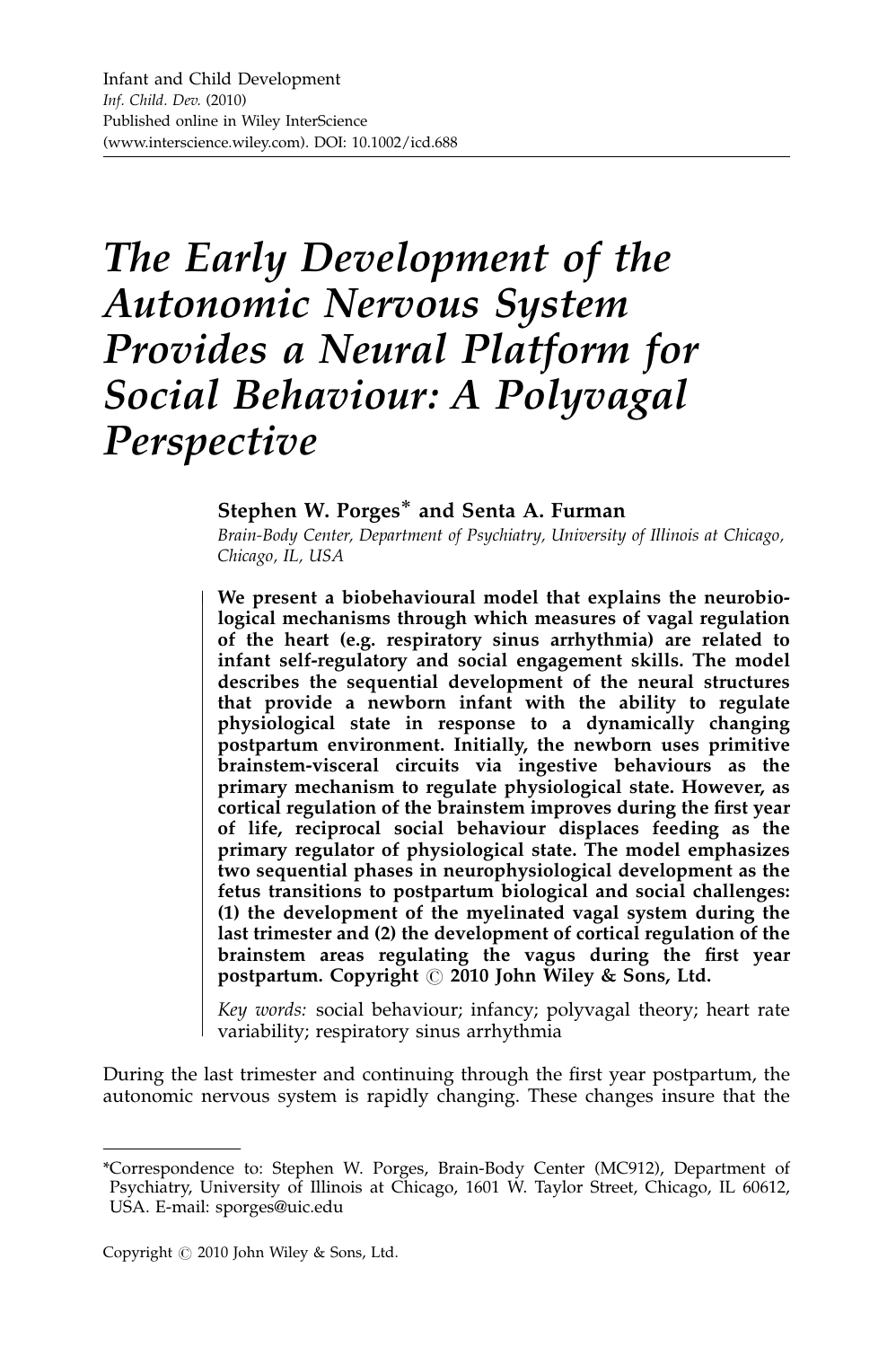--- $\overline{\phantom{a}}$  $\overline{\phantom{a}}$  $\overline{\phantom{a}}$  $\overline{\phantom{a}}$  $\overline{\phantom{a}}$  $\overline{\phantom{a}}$  $\overline{\phantom{a}}$  $\overline{\phantom{a}}$  $\overline{\phantom{a}}$  $\overline{\phantom{a}}$  $\overline{\phantom{a}}$  $\overline{\phantom{a}}$  $\overline{\phantom{a}}$  $\overline{\phantom{a}}$  $\overline{\phantom{a}}$  $\overline{\phantom{a}}$  $\overline{\phantom{a}}$  $\overline{\phantom{a}}$  $\overline{\phantom{a}}$  $\overline{\phantom{a}}$  $\overline{\phantom{a}}$  $\overline{\phantom{a}}$  $\overline{\phantom{a}}$  $\overline{\phantom{a}}$  $\overline{\phantom{a}}$  $\overline{\phantom{a}}$  $\overline{\phantom{a}}$  $\overline{\phantom{a}}$  $\overline{\phantom{a}}$  $\overline{\phantom{a}}$  $\overline{\phantom{a}}$  $\overline{\phantom{a}}$  $\overline{\phantom{a}}$  $\overline{\phantom{a}}$  $\overline{\phantom{a}}$  $\overline{\phantom{a}}$  $\overline{\phantom{a}}$ 

# The Early Development of the Autonomic Nervous System Provides a Neural Platform for Social Behaviour: A Polyvagal **Perspective**

# Stephen W. Porges<sup>\*</sup> and Senta A. Furman

Brain-Body Center, Department of Psychiatry, University of Illinois at Chicago, Chicago, IL, USA

We present a biobehavioural model that explains the neurobiological mechanisms through which measures of vagal regulation of the heart (e.g. respiratory sinus arrhythmia) are related to infant self-regulatory and social engagement skills. The model describes the sequential development of the neural structures that provide a newborn infant with the ability to regulate physiological state in response to a dynamically changing postpartum environment. Initially, the newborn uses primitive brainstem-visceral circuits via ingestive behaviours as the primary mechanism to regulate physiological state. However, as cortical regulation of the brainstem improves during the first year of life, reciprocal social behaviour displaces feeding as the primary regulator of physiological state. The model emphasizes two sequential phases in neurophysiological development as the fetus transitions to postpartum biological and social challenges: (1) the development of the myelinated vagal system during the last trimester and (2) the development of cortical regulation of the brainstem areas regulating the vagus during the first year postpartum. Copyright  $\odot$  2010 John Wiley & Sons, Ltd.

Key words: social behaviour; infancy; polyvagal theory; heart rate variability; respiratory sinus arrhythmia

During the last trimester and continuing through the first year postpartum, the autonomic nervous system is rapidly changing. These changes insure that the

<sup>\*</sup>Correspondence to: Stephen W. Porges, Brain-Body Center (MC912), Department of Psychiatry, University of Illinois at Chicago, 1601 W. Taylor Street, Chicago, IL 60612, USA. E-mail: sporges@uic.edu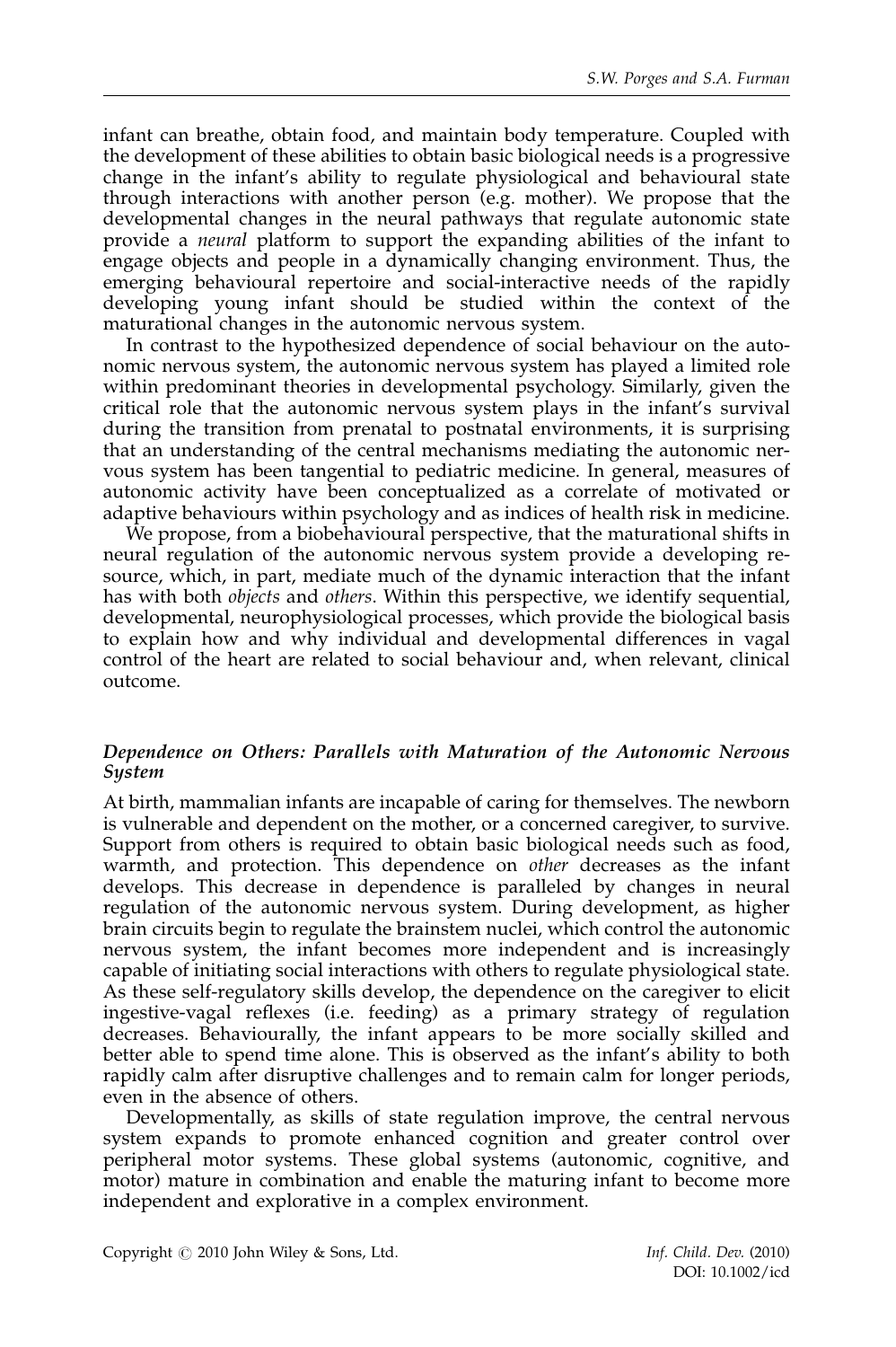infant can breathe, obtain food, and maintain body temperature. Coupled with the development of these abilities to obtain basic biological needs is a progressive change in the infant's ability to regulate physiological and behavioural state through interactions with another person (e.g. mother). We propose that the developmental changes in the neural pathways that regulate autonomic state provide a neural platform to support the expanding abilities of the infant to engage objects and people in a dynamically changing environment. Thus, the emerging behavioural repertoire and social-interactive needs of the rapidly developing young infant should be studied within the context of the maturational changes in the autonomic nervous system.

In contrast to the hypothesized dependence of social behaviour on the autonomic nervous system, the autonomic nervous system has played a limited role within predominant theories in developmental psychology. Similarly, given the critical role that the autonomic nervous system plays in the infant's survival during the transition from prenatal to postnatal environments, it is surprising that an understanding of the central mechanisms mediating the autonomic nervous system has been tangential to pediatric medicine. In general, measures of autonomic activity have been conceptualized as a correlate of motivated or adaptive behaviours within psychology and as indices of health risk in medicine.

We propose, from a biobehavioural perspective, that the maturational shifts in neural regulation of the autonomic nervous system provide a developing resource, which, in part, mediate much of the dynamic interaction that the infant has with both *objects* and *others*. Within this perspective, we identify sequential, developmental, neurophysiological processes, which provide the biological basis to explain how and why individual and developmental differences in vagal control of the heart are related to social behaviour and, when relevant, clinical outcome.

# Dependence on Others: Parallels with Maturation of the Autonomic Nervous System

At birth, mammalian infants are incapable of caring for themselves. The newborn is vulnerable and dependent on the mother, or a concerned caregiver, to survive. Support from others is required to obtain basic biological needs such as food, warmth, and protection. This dependence on other decreases as the infant develops. This decrease in dependence is paralleled by changes in neural regulation of the autonomic nervous system. During development, as higher brain circuits begin to regulate the brainstem nuclei, which control the autonomic nervous system, the infant becomes more independent and is increasingly capable of initiating social interactions with others to regulate physiological state. As these self-regulatory skills develop, the dependence on the caregiver to elicit ingestive-vagal reflexes (i.e. feeding) as a primary strategy of regulation decreases. Behaviourally, the infant appears to be more socially skilled and better able to spend time alone. This is observed as the infant's ability to both rapidly calm after disruptive challenges and to remain calm for longer periods, even in the absence of others.

Developmentally, as skills of state regulation improve, the central nervous system expands to promote enhanced cognition and greater control over peripheral motor systems. These global systems (autonomic, cognitive, and motor) mature in combination and enable the maturing infant to become more independent and explorative in a complex environment.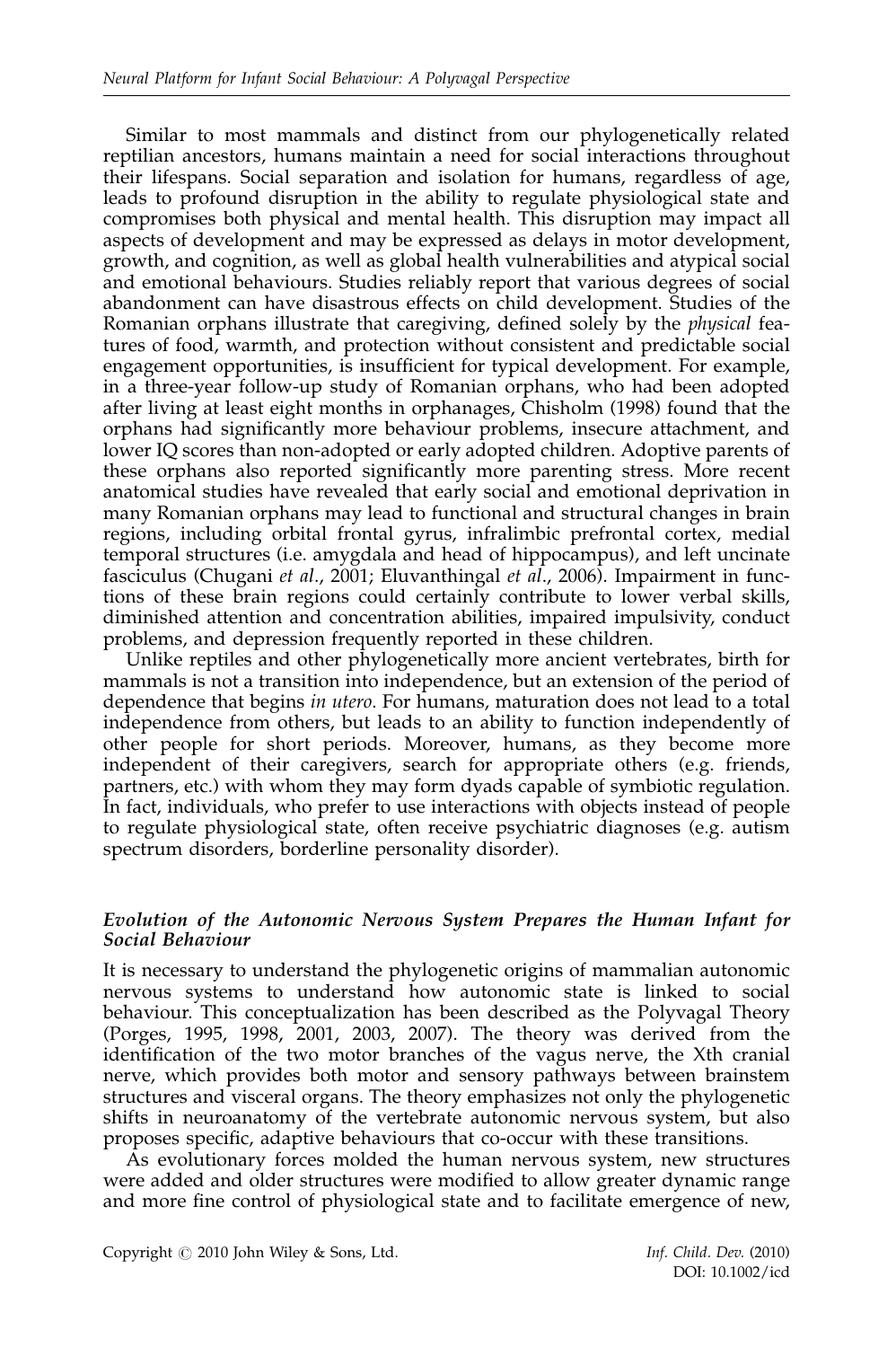Similar to most mammals and distinct from our phylogenetically related reptilian ancestors, humans maintain a need for social interactions throughout their lifespans. Social separation and isolation for humans, regardless of age, leads to profound disruption in the ability to regulate physiological state and compromises both physical and mental health. This disruption may impact all aspects of development and may be expressed as delays in motor development, growth, and cognition, as well as global health vulnerabilities and atypical social and emotional behaviours. Studies reliably report that various degrees of social abandonment can have disastrous effects on child development. Studies of the Romanian orphans illustrate that caregiving, defined solely by the physical features of food, warmth, and protection without consistent and predictable social engagement opportunities, is insufficient for typical development. For example, in a three-year follow-up study of Romanian orphans, who had been adopted after living at least eight months in orphanages, Chisholm (1998) found that the orphans had significantly more behaviour problems, insecure attachment, and lower IQ scores than non-adopted or early adopted children. Adoptive parents of these orphans also reported significantly more parenting stress. More recent anatomical studies have revealed that early social and emotional deprivation in many Romanian orphans may lead to functional and structural changes in brain regions, including orbital frontal gyrus, infralimbic prefrontal cortex, medial temporal structures (i.e. amygdala and head of hippocampus), and left uncinate fasciculus (Chugani et al., 2001; Eluvanthingal et al., 2006). Impairment in functions of these brain regions could certainly contribute to lower verbal skills, diminished attention and concentration abilities, impaired impulsivity, conduct problems, and depression frequently reported in these children.

Unlike reptiles and other phylogenetically more ancient vertebrates, birth for mammals is not a transition into independence, but an extension of the period of dependence that begins in utero. For humans, maturation does not lead to a total independence from others, but leads to an ability to function independently of other people for short periods. Moreover, humans, as they become more independent of their caregivers, search for appropriate others (e.g. friends, partners, etc.) with whom they may form dyads capable of symbiotic regulation. In fact, individuals, who prefer to use interactions with objects instead of people to regulate physiological state, often receive psychiatric diagnoses (e.g. autism spectrum disorders, borderline personality disorder).

## Evolution of the Autonomic Nervous System Prepares the Human Infant for Social Behaviour

It is necessary to understand the phylogenetic origins of mammalian autonomic nervous systems to understand how autonomic state is linked to social behaviour. This conceptualization has been described as the Polyvagal Theory (Porges, 1995, 1998, 2001, 2003, 2007). The theory was derived from the identification of the two motor branches of the vagus nerve, the Xth cranial nerve, which provides both motor and sensory pathways between brainstem structures and visceral organs. The theory emphasizes not only the phylogenetic shifts in neuroanatomy of the vertebrate autonomic nervous system, but also proposes specific, adaptive behaviours that co-occur with these transitions.

As evolutionary forces molded the human nervous system, new structures were added and older structures were modified to allow greater dynamic range and more fine control of physiological state and to facilitate emergence of new,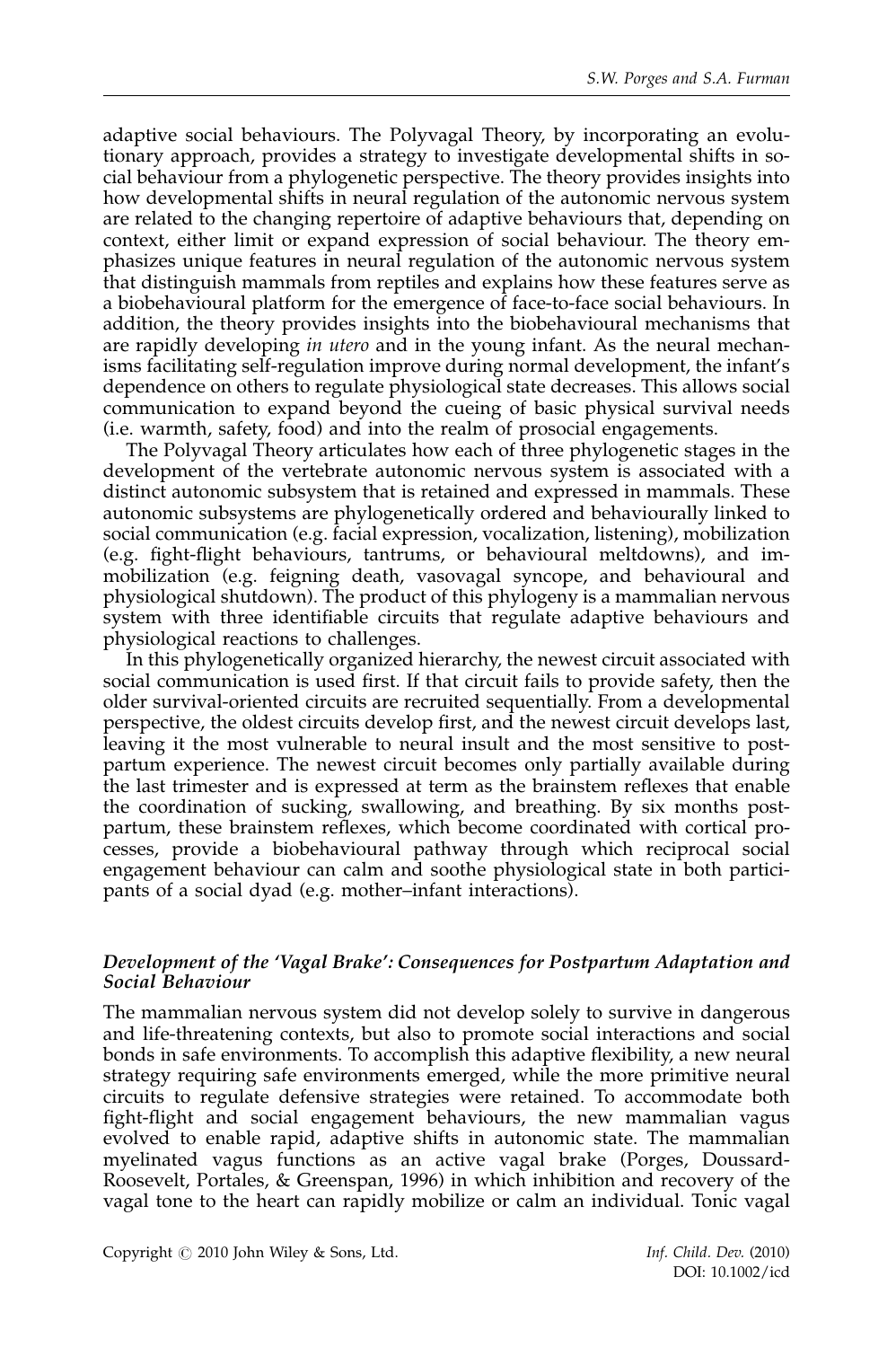adaptive social behaviours. The Polyvagal Theory, by incorporating an evolutionary approach, provides a strategy to investigate developmental shifts in social behaviour from a phylogenetic perspective. The theory provides insights into how developmental shifts in neural regulation of the autonomic nervous system are related to the changing repertoire of adaptive behaviours that, depending on context, either limit or expand expression of social behaviour. The theory emphasizes unique features in neural regulation of the autonomic nervous system that distinguish mammals from reptiles and explains how these features serve as a biobehavioural platform for the emergence of face-to-face social behaviours. In addition, the theory provides insights into the biobehavioural mechanisms that are rapidly developing in utero and in the young infant. As the neural mechanisms facilitating self-regulation improve during normal development, the infant's dependence on others to regulate physiological state decreases. This allows social communication to expand beyond the cueing of basic physical survival needs (i.e. warmth, safety, food) and into the realm of prosocial engagements.

The Polyvagal Theory articulates how each of three phylogenetic stages in the development of the vertebrate autonomic nervous system is associated with a distinct autonomic subsystem that is retained and expressed in mammals. These autonomic subsystems are phylogenetically ordered and behaviourally linked to social communication (e.g. facial expression, vocalization, listening), mobilization (e.g. fight-flight behaviours, tantrums, or behavioural meltdowns), and immobilization (e.g. feigning death, vasovagal syncope, and behavioural and physiological shutdown). The product of this phylogeny is a mammalian nervous system with three identifiable circuits that regulate adaptive behaviours and physiological reactions to challenges.

In this phylogenetically organized hierarchy, the newest circuit associated with social communication is used first. If that circuit fails to provide safety, then the older survival-oriented circuits are recruited sequentially. From a developmental perspective, the oldest circuits develop first, and the newest circuit develops last, leaving it the most vulnerable to neural insult and the most sensitive to postpartum experience. The newest circuit becomes only partially available during the last trimester and is expressed at term as the brainstem reflexes that enable the coordination of sucking, swallowing, and breathing. By six months postpartum, these brainstem reflexes, which become coordinated with cortical processes, provide a biobehavioural pathway through which reciprocal social engagement behaviour can calm and soothe physiological state in both participants of a social dyad (e.g. mother–infant interactions).

#### Development of the 'Vagal Brake': Consequences for Postpartum Adaptation and Social Behaviour

The mammalian nervous system did not develop solely to survive in dangerous and life-threatening contexts, but also to promote social interactions and social bonds in safe environments. To accomplish this adaptive flexibility, a new neural strategy requiring safe environments emerged, while the more primitive neural circuits to regulate defensive strategies were retained. To accommodate both fight-flight and social engagement behaviours, the new mammalian vagus evolved to enable rapid, adaptive shifts in autonomic state. The mammalian myelinated vagus functions as an active vagal brake (Porges, Doussard-Roosevelt, Portales, & Greenspan, 1996) in which inhibition and recovery of the vagal tone to the heart can rapidly mobilize or calm an individual. Tonic vagal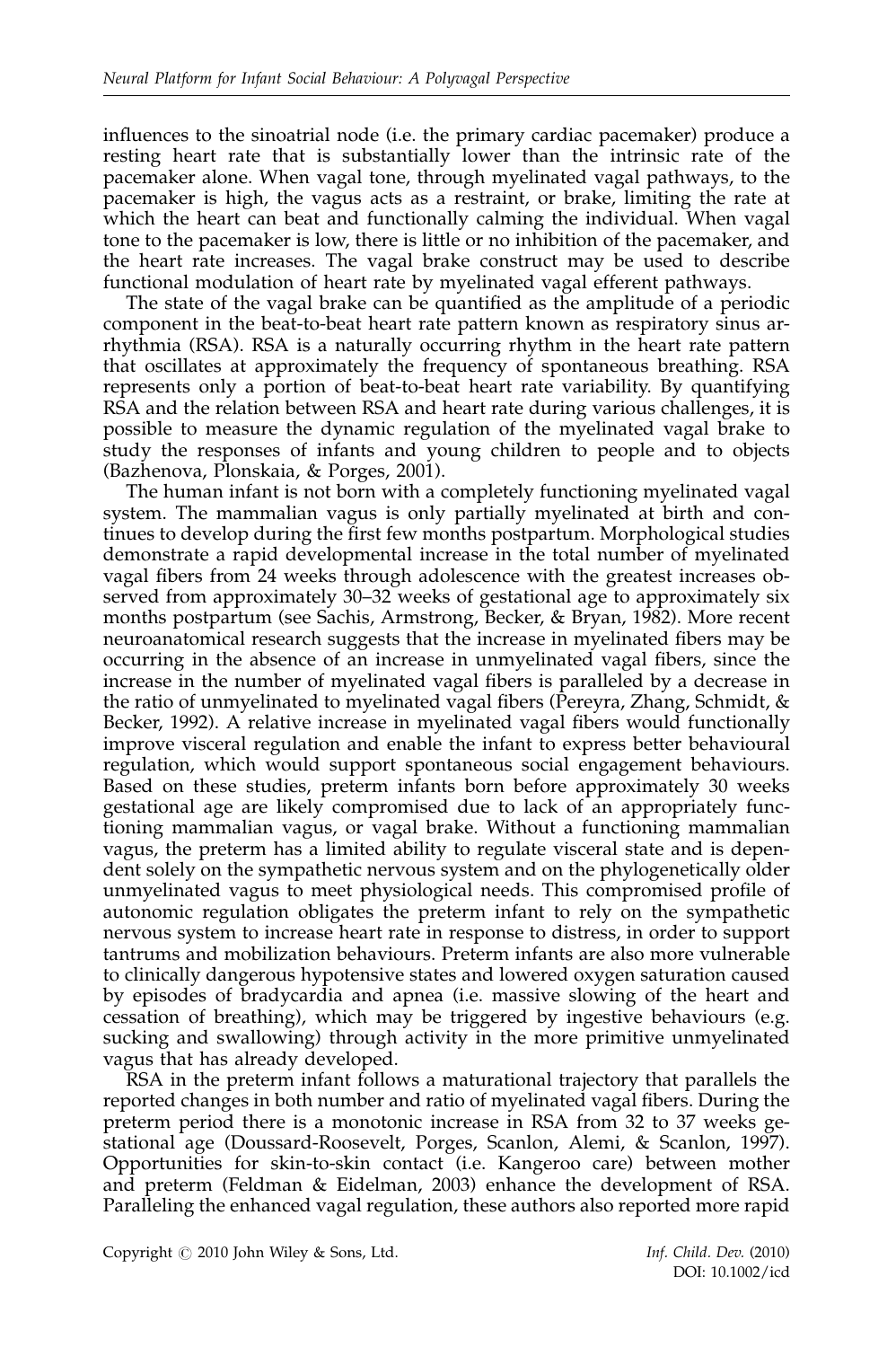influences to the sinoatrial node (i.e. the primary cardiac pacemaker) produce a resting heart rate that is substantially lower than the intrinsic rate of the pacemaker alone. When vagal tone, through myelinated vagal pathways, to the pacemaker is high, the vagus acts as a restraint, or brake, limiting the rate at which the heart can beat and functionally calming the individual. When vagal tone to the pacemaker is low, there is little or no inhibition of the pacemaker, and the heart rate increases. The vagal brake construct may be used to describe functional modulation of heart rate by myelinated vagal efferent pathways.

The state of the vagal brake can be quantified as the amplitude of a periodic component in the beat-to-beat heart rate pattern known as respiratory sinus arrhythmia (RSA). RSA is a naturally occurring rhythm in the heart rate pattern that oscillates at approximately the frequency of spontaneous breathing. RSA represents only a portion of beat-to-beat heart rate variability. By quantifying RSA and the relation between RSA and heart rate during various challenges, it is possible to measure the dynamic regulation of the myelinated vagal brake to study the responses of infants and young children to people and to objects (Bazhenova, Plonskaia, & Porges, 2001).

The human infant is not born with a completely functioning myelinated vagal system. The mammalian vagus is only partially myelinated at birth and continues to develop during the first few months postpartum. Morphological studies demonstrate a rapid developmental increase in the total number of myelinated vagal fibers from 24 weeks through adolescence with the greatest increases observed from approximately 30–32 weeks of gestational age to approximately six months postpartum (see Sachis, Armstrong, Becker, & Bryan, 1982). More recent neuroanatomical research suggests that the increase in myelinated fibers may be occurring in the absence of an increase in unmyelinated vagal fibers, since the increase in the number of myelinated vagal fibers is paralleled by a decrease in the ratio of unmyelinated to myelinated vagal fibers (Pereyra, Zhang, Schmidt, & Becker, 1992). A relative increase in myelinated vagal fibers would functionally improve visceral regulation and enable the infant to express better behavioural regulation, which would support spontaneous social engagement behaviours. Based on these studies, preterm infants born before approximately 30 weeks gestational age are likely compromised due to lack of an appropriately functioning mammalian vagus, or vagal brake. Without a functioning mammalian vagus, the preterm has a limited ability to regulate visceral state and is dependent solely on the sympathetic nervous system and on the phylogenetically older unmyelinated vagus to meet physiological needs. This compromised profile of autonomic regulation obligates the preterm infant to rely on the sympathetic nervous system to increase heart rate in response to distress, in order to support tantrums and mobilization behaviours. Preterm infants are also more vulnerable to clinically dangerous hypotensive states and lowered oxygen saturation caused by episodes of bradycardia and apnea (i.e. massive slowing of the heart and cessation of breathing), which may be triggered by ingestive behaviours (e.g. sucking and swallowing) through activity in the more primitive unmyelinated vagus that has already developed.

RSA in the preterm infant follows a maturational trajectory that parallels the reported changes in both number and ratio of myelinated vagal fibers. During the preterm period there is a monotonic increase in RSA from 32 to 37 weeks gestational age (Doussard-Roosevelt, Porges, Scanlon, Alemi, & Scanlon, 1997). Opportunities for skin-to-skin contact (i.e. Kangeroo care) between mother and preterm (Feldman & Eidelman, 2003) enhance the development of RSA. Paralleling the enhanced vagal regulation, these authors also reported more rapid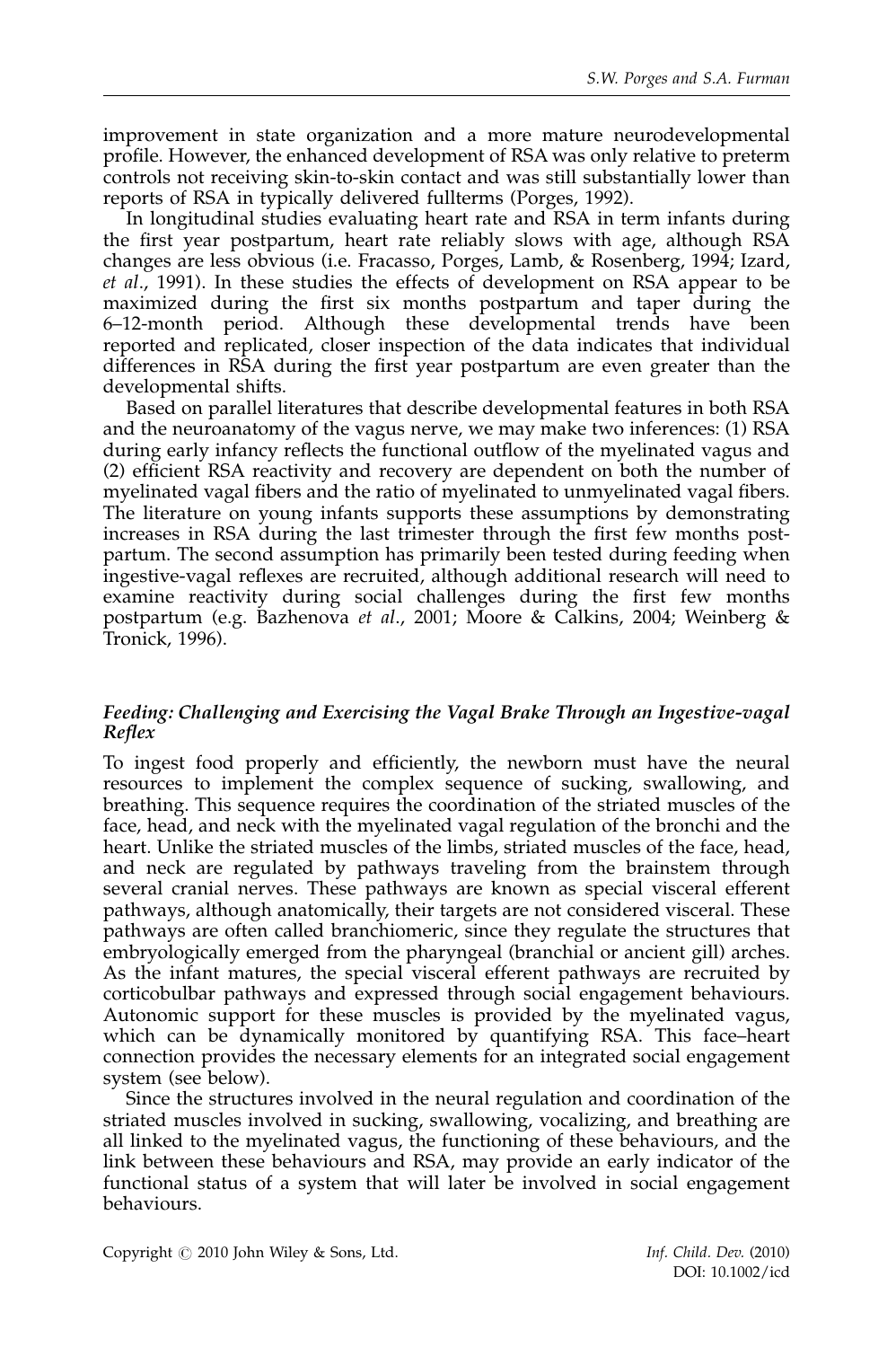improvement in state organization and a more mature neurodevelopmental profile. However, the enhanced development of RSA was only relative to preterm controls not receiving skin-to-skin contact and was still substantially lower than reports of RSA in typically delivered fullterms (Porges, 1992).

In longitudinal studies evaluating heart rate and RSA in term infants during the first year postpartum, heart rate reliably slows with age, although RSA changes are less obvious (i.e. Fracasso, Porges, Lamb, & Rosenberg, 1994; Izard, et al., 1991). In these studies the effects of development on RSA appear to be maximized during the first six months postpartum and taper during the 6–12-month period. Although these developmental trends have been reported and replicated, closer inspection of the data indicates that individual differences in RSA during the first year postpartum are even greater than the developmental shifts.

Based on parallel literatures that describe developmental features in both RSA and the neuroanatomy of the vagus nerve, we may make two inferences: (1) RSA during early infancy reflects the functional outflow of the myelinated vagus and (2) efficient RSA reactivity and recovery are dependent on both the number of myelinated vagal fibers and the ratio of myelinated to unmyelinated vagal fibers. The literature on young infants supports these assumptions by demonstrating increases in RSA during the last trimester through the first few months postpartum. The second assumption has primarily been tested during feeding when ingestive-vagal reflexes are recruited, although additional research will need to examine reactivity during social challenges during the first few months postpartum (e.g. Bazhenova et al., 2001; Moore & Calkins, 2004; Weinberg & Tronick, 1996).

## Feeding: Challenging and Exercising the Vagal Brake Through an Ingestive-vagal Reflex

To ingest food properly and efficiently, the newborn must have the neural resources to implement the complex sequence of sucking, swallowing, and breathing. This sequence requires the coordination of the striated muscles of the face, head, and neck with the myelinated vagal regulation of the bronchi and the heart. Unlike the striated muscles of the limbs, striated muscles of the face, head, and neck are regulated by pathways traveling from the brainstem through several cranial nerves. These pathways are known as special visceral efferent pathways, although anatomically, their targets are not considered visceral. These pathways are often called branchiomeric, since they regulate the structures that embryologically emerged from the pharyngeal (branchial or ancient gill) arches. As the infant matures, the special visceral efferent pathways are recruited by corticobulbar pathways and expressed through social engagement behaviours. Autonomic support for these muscles is provided by the myelinated vagus, which can be dynamically monitored by quantifying RSA. This face–heart connection provides the necessary elements for an integrated social engagement system (see below).

Since the structures involved in the neural regulation and coordination of the striated muscles involved in sucking, swallowing, vocalizing, and breathing are all linked to the myelinated vagus, the functioning of these behaviours, and the link between these behaviours and RSA, may provide an early indicator of the functional status of a system that will later be involved in social engagement behaviours.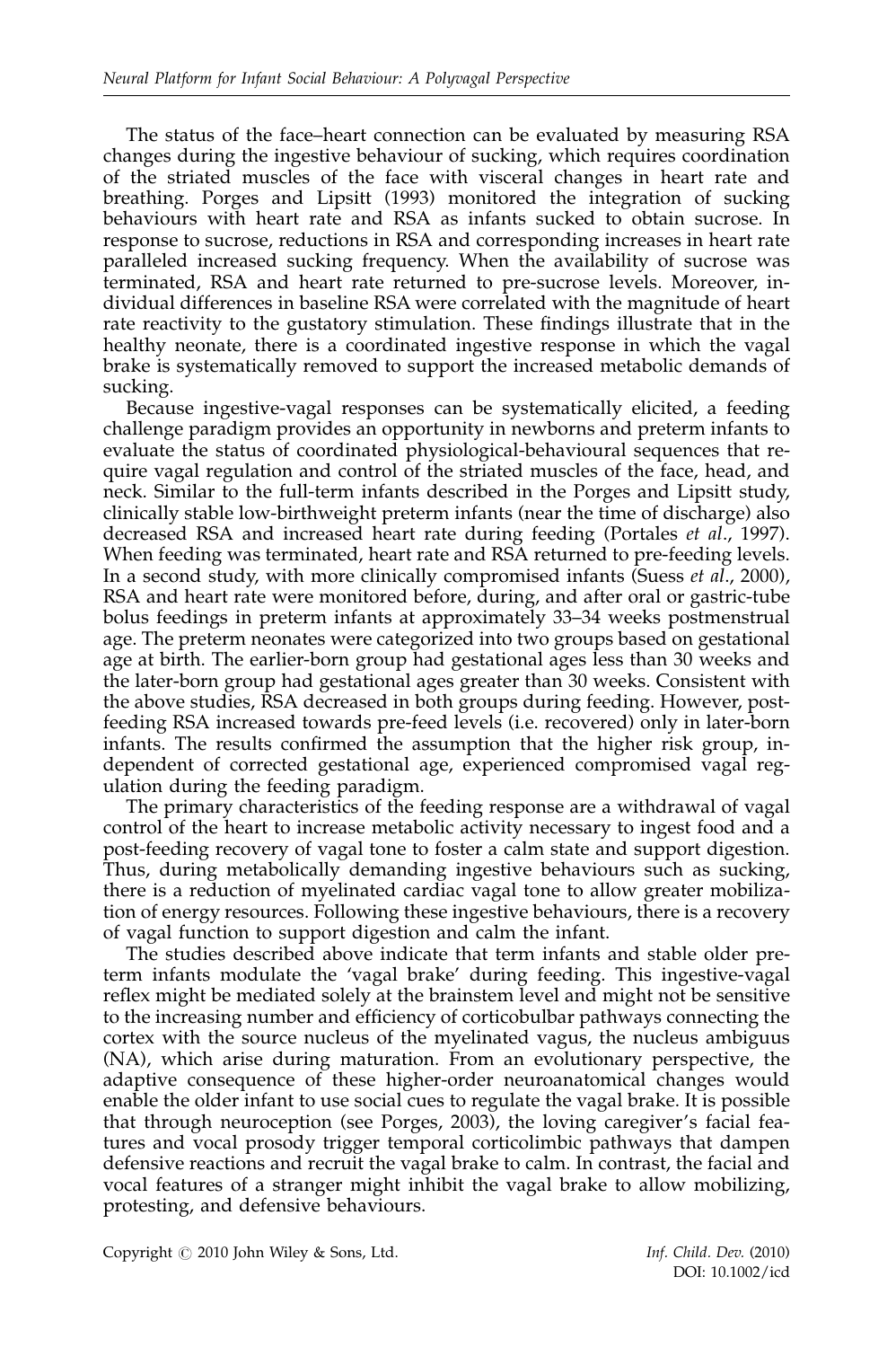The status of the face–heart connection can be evaluated by measuring RSA changes during the ingestive behaviour of sucking, which requires coordination of the striated muscles of the face with visceral changes in heart rate and breathing. Porges and Lipsitt (1993) monitored the integration of sucking behaviours with heart rate and RSA as infants sucked to obtain sucrose. In response to sucrose, reductions in RSA and corresponding increases in heart rate paralleled increased sucking frequency. When the availability of sucrose was terminated, RSA and heart rate returned to pre-sucrose levels. Moreover, individual differences in baseline RSA were correlated with the magnitude of heart rate reactivity to the gustatory stimulation. These findings illustrate that in the healthy neonate, there is a coordinated ingestive response in which the vagal brake is systematically removed to support the increased metabolic demands of sucking.

Because ingestive-vagal responses can be systematically elicited, a feeding challenge paradigm provides an opportunity in newborns and preterm infants to evaluate the status of coordinated physiological-behavioural sequences that require vagal regulation and control of the striated muscles of the face, head, and neck. Similar to the full-term infants described in the Porges and Lipsitt study, clinically stable low-birthweight preterm infants (near the time of discharge) also decreased RSA and increased heart rate during feeding (Portales et al., 1997). When feeding was terminated, heart rate and RSA returned to pre-feeding levels. In a second study, with more clinically compromised infants (Suess et al., 2000), RSA and heart rate were monitored before, during, and after oral or gastric-tube bolus feedings in preterm infants at approximately 33–34 weeks postmenstrual age. The preterm neonates were categorized into two groups based on gestational age at birth. The earlier-born group had gestational ages less than 30 weeks and the later-born group had gestational ages greater than 30 weeks. Consistent with the above studies, RSA decreased in both groups during feeding. However, postfeeding RSA increased towards pre-feed levels (i.e. recovered) only in later-born infants. The results confirmed the assumption that the higher risk group, independent of corrected gestational age, experienced compromised vagal regulation during the feeding paradigm.

The primary characteristics of the feeding response are a withdrawal of vagal control of the heart to increase metabolic activity necessary to ingest food and a post-feeding recovery of vagal tone to foster a calm state and support digestion. Thus, during metabolically demanding ingestive behaviours such as sucking, there is a reduction of myelinated cardiac vagal tone to allow greater mobilization of energy resources. Following these ingestive behaviours, there is a recovery of vagal function to support digestion and calm the infant.

The studies described above indicate that term infants and stable older preterm infants modulate the 'vagal brake' during feeding. This ingestive-vagal reflex might be mediated solely at the brainstem level and might not be sensitive to the increasing number and efficiency of corticobulbar pathways connecting the cortex with the source nucleus of the myelinated vagus, the nucleus ambiguus (NA), which arise during maturation. From an evolutionary perspective, the adaptive consequence of these higher-order neuroanatomical changes would enable the older infant to use social cues to regulate the vagal brake. It is possible that through neuroception (see Porges, 2003), the loving caregiver's facial features and vocal prosody trigger temporal corticolimbic pathways that dampen defensive reactions and recruit the vagal brake to calm. In contrast, the facial and vocal features of a stranger might inhibit the vagal brake to allow mobilizing, protesting, and defensive behaviours.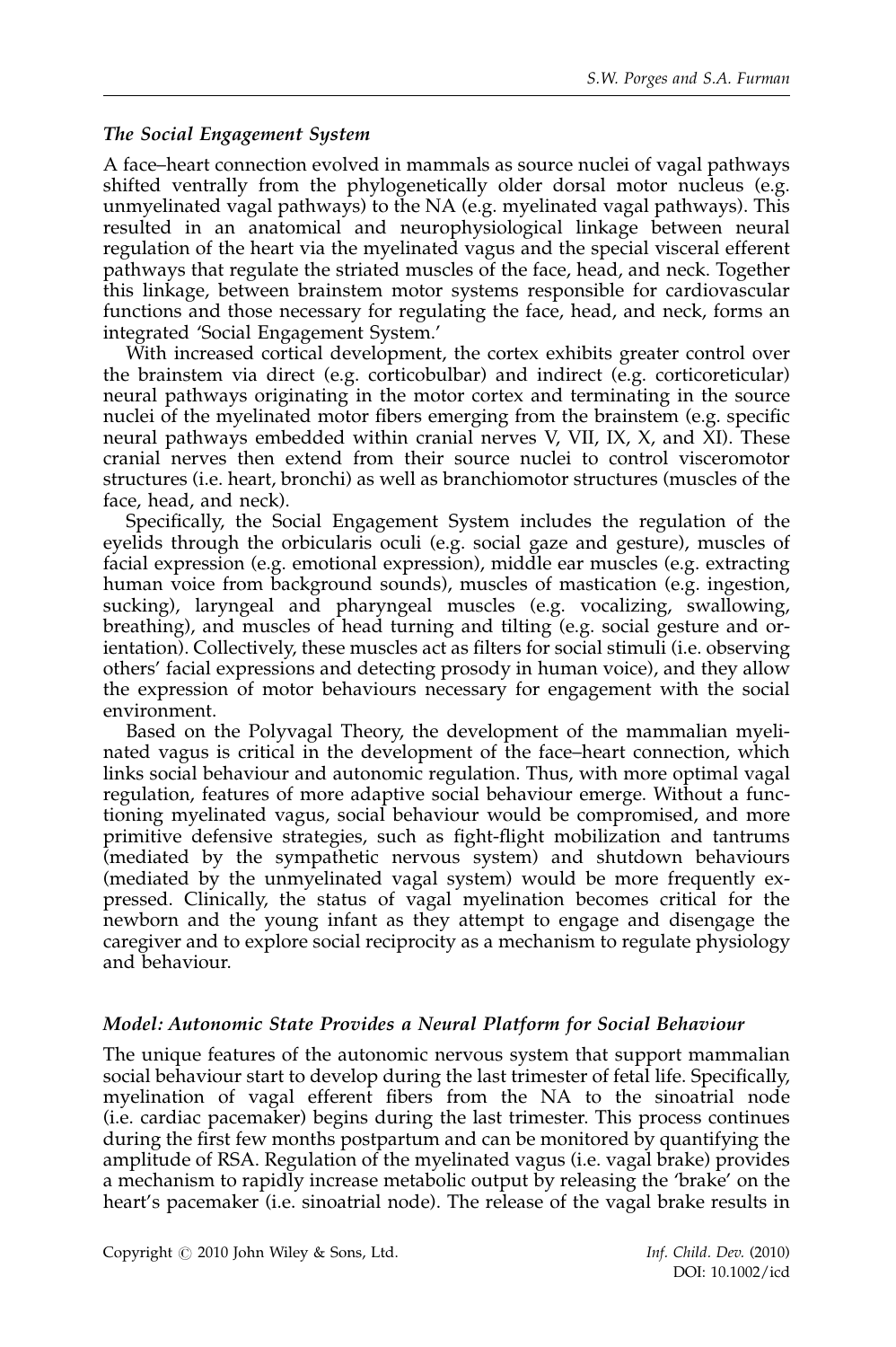#### The Social Engagement System

A face–heart connection evolved in mammals as source nuclei of vagal pathways shifted ventrally from the phylogenetically older dorsal motor nucleus (e.g. unmyelinated vagal pathways) to the NA (e.g. myelinated vagal pathways). This resulted in an anatomical and neurophysiological linkage between neural regulation of the heart via the myelinated vagus and the special visceral efferent pathways that regulate the striated muscles of the face, head, and neck. Together this linkage, between brainstem motor systems responsible for cardiovascular functions and those necessary for regulating the face, head, and neck, forms an integrated 'Social Engagement System.'

With increased cortical development, the cortex exhibits greater control over the brainstem via direct (e.g. corticobulbar) and indirect (e.g. corticoreticular) neural pathways originating in the motor cortex and terminating in the source nuclei of the myelinated motor fibers emerging from the brainstem (e.g. specific neural pathways embedded within cranial nerves V, VII, IX, X, and XI). These cranial nerves then extend from their source nuclei to control visceromotor structures (i.e. heart, bronchi) as well as branchiomotor structures (muscles of the face, head, and neck).

Specifically, the Social Engagement System includes the regulation of the eyelids through the orbicularis oculi (e.g. social gaze and gesture), muscles of facial expression (e.g. emotional expression), middle ear muscles (e.g. extracting human voice from background sounds), muscles of mastication (e.g. ingestion, sucking), laryngeal and pharyngeal muscles (e.g. vocalizing, swallowing, breathing), and muscles of head turning and tilting (e.g. social gesture and orientation). Collectively, these muscles act as filters for social stimuli (i.e. observing others' facial expressions and detecting prosody in human voice), and they allow the expression of motor behaviours necessary for engagement with the social environment.

Based on the Polyvagal Theory, the development of the mammalian myelinated vagus is critical in the development of the face–heart connection, which links social behaviour and autonomic regulation. Thus, with more optimal vagal regulation, features of more adaptive social behaviour emerge. Without a functioning myelinated vagus, social behaviour would be compromised, and more primitive defensive strategies, such as fight-flight mobilization and tantrums (mediated by the sympathetic nervous system) and shutdown behaviours (mediated by the unmyelinated vagal system) would be more frequently expressed. Clinically, the status of vagal myelination becomes critical for the newborn and the young infant as they attempt to engage and disengage the caregiver and to explore social reciprocity as a mechanism to regulate physiology and behaviour.

# Model: Autonomic State Provides a Neural Platform for Social Behaviour

The unique features of the autonomic nervous system that support mammalian social behaviour start to develop during the last trimester of fetal life. Specifically, myelination of vagal efferent fibers from the NA to the sinoatrial node (i.e. cardiac pacemaker) begins during the last trimester. This process continues during the first few months postpartum and can be monitored by quantifying the amplitude of RSA. Regulation of the myelinated vagus (i.e. vagal brake) provides a mechanism to rapidly increase metabolic output by releasing the 'brake' on the heart's pacemaker (i.e. sinoatrial node). The release of the vagal brake results in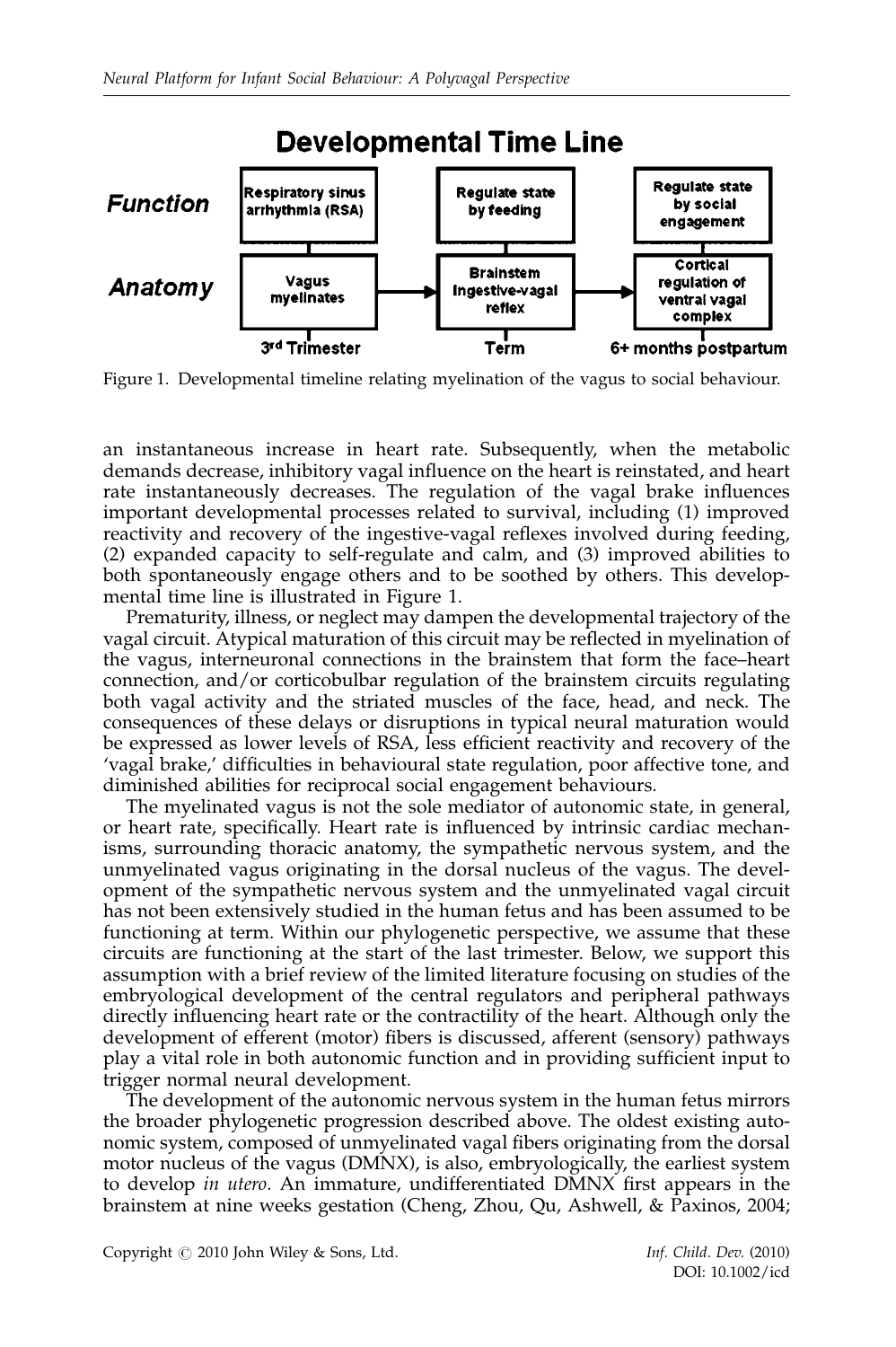

Figure 1. Developmental timeline relating myelination of the vagus to social behaviour.

an instantaneous increase in heart rate. Subsequently, when the metabolic demands decrease, inhibitory vagal influence on the heart is reinstated, and heart rate instantaneously decreases. The regulation of the vagal brake influences important developmental processes related to survival, including (1) improved reactivity and recovery of the ingestive-vagal reflexes involved during feeding, (2) expanded capacity to self-regulate and calm, and (3) improved abilities to both spontaneously engage others and to be soothed by others. This developmental time line is illustrated in Figure 1.

Prematurity, illness, or neglect may dampen the developmental trajectory of the vagal circuit. Atypical maturation of this circuit may be reflected in myelination of the vagus, interneuronal connections in the brainstem that form the face–heart connection, and/or corticobulbar regulation of the brainstem circuits regulating both vagal activity and the striated muscles of the face, head, and neck. The consequences of these delays or disruptions in typical neural maturation would be expressed as lower levels of RSA, less efficient reactivity and recovery of the 'vagal brake,' difficulties in behavioural state regulation, poor affective tone, and diminished abilities for reciprocal social engagement behaviours.

The myelinated vagus is not the sole mediator of autonomic state, in general, or heart rate, specifically. Heart rate is influenced by intrinsic cardiac mechanisms, surrounding thoracic anatomy, the sympathetic nervous system, and the unmyelinated vagus originating in the dorsal nucleus of the vagus. The development of the sympathetic nervous system and the unmyelinated vagal circuit has not been extensively studied in the human fetus and has been assumed to be functioning at term. Within our phylogenetic perspective, we assume that these circuits are functioning at the start of the last trimester. Below, we support this assumption with a brief review of the limited literature focusing on studies of the embryological development of the central regulators and peripheral pathways directly influencing heart rate or the contractility of the heart. Although only the development of efferent (motor) fibers is discussed, afferent (sensory) pathways play a vital role in both autonomic function and in providing sufficient input to trigger normal neural development.

The development of the autonomic nervous system in the human fetus mirrors the broader phylogenetic progression described above. The oldest existing autonomic system, composed of unmyelinated vagal fibers originating from the dorsal motor nucleus of the vagus (DMNX), is also, embryologically, the earliest system to develop in utero. An immature, undifferentiated DMNX first appears in the brainstem at nine weeks gestation (Cheng, Zhou, Qu, Ashwell, & Paxinos, 2004;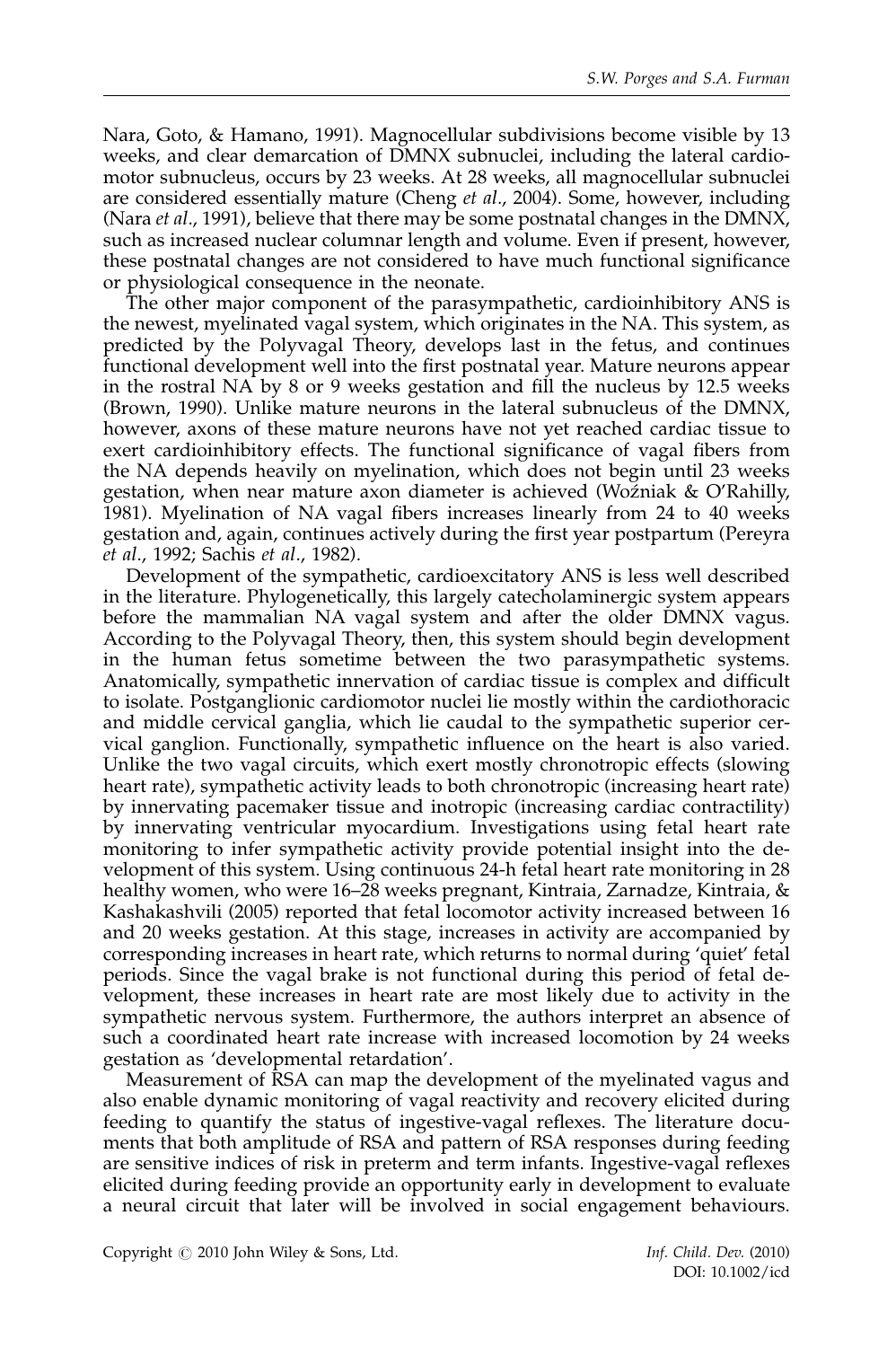Nara, Goto, & Hamano, 1991). Magnocellular subdivisions become visible by 13 weeks, and clear demarcation of DMNX subnuclei, including the lateral cardiomotor subnucleus, occurs by 23 weeks. At 28 weeks, all magnocellular subnuclei are considered essentially mature (Cheng et al., 2004). Some, however, including (Nara *et al.*, 1991), believe that there may be some postnatal changes in the DMNX, such as increased nuclear columnar length and volume. Even if present, however, these postnatal changes are not considered to have much functional significance or physiological consequence in the neonate.

The other major component of the parasympathetic, cardioinhibitory ANS is the newest, myelinated vagal system, which originates in the NA. This system, as predicted by the Polyvagal Theory, develops last in the fetus, and continues functional development well into the first postnatal year. Mature neurons appear in the rostral NA by 8 or 9 weeks gestation and fill the nucleus by 12.5 weeks (Brown, 1990). Unlike mature neurons in the lateral subnucleus of the DMNX, however, axons of these mature neurons have not yet reached cardiac tissue to exert cardioinhibitory effects. The functional significance of vagal fibers from the NA depends heavily on myelination, which does not begin until 23 weeks gestation, when near mature axon diameter is achieved (Woźniak & O'Rahilly, 1981). Myelination of NA vagal fibers increases linearly from 24 to 40 weeks gestation and, again, continues actively during the first year postpartum (Pereyra et al., 1992; Sachis et al., 1982).

Development of the sympathetic, cardioexcitatory ANS is less well described in the literature. Phylogenetically, this largely catecholaminergic system appears before the mammalian NA vagal system and after the older DMNX vagus. According to the Polyvagal Theory, then, this system should begin development in the human fetus sometime between the two parasympathetic systems. Anatomically, sympathetic innervation of cardiac tissue is complex and difficult to isolate. Postganglionic cardiomotor nuclei lie mostly within the cardiothoracic and middle cervical ganglia, which lie caudal to the sympathetic superior cervical ganglion. Functionally, sympathetic influence on the heart is also varied. Unlike the two vagal circuits, which exert mostly chronotropic effects (slowing heart rate), sympathetic activity leads to both chronotropic (increasing heart rate) by innervating pacemaker tissue and inotropic (increasing cardiac contractility) by innervating ventricular myocardium. Investigations using fetal heart rate monitoring to infer sympathetic activity provide potential insight into the development of this system. Using continuous 24-h fetal heart rate monitoring in 28 healthy women, who were 16–28 weeks pregnant, Kintraia, Zarnadze, Kintraia, & Kashakashvili (2005) reported that fetal locomotor activity increased between 16 and 20 weeks gestation. At this stage, increases in activity are accompanied by corresponding increases in heart rate, which returns to normal during 'quiet' fetal periods. Since the vagal brake is not functional during this period of fetal development, these increases in heart rate are most likely due to activity in the sympathetic nervous system. Furthermore, the authors interpret an absence of such a coordinated heart rate increase with increased locomotion by 24 weeks gestation as 'developmental retardation'.

Measurement of RSA can map the development of the myelinated vagus and also enable dynamic monitoring of vagal reactivity and recovery elicited during feeding to quantify the status of ingestive-vagal reflexes. The literature documents that both amplitude of RSA and pattern of RSA responses during feeding are sensitive indices of risk in preterm and term infants. Ingestive-vagal reflexes elicited during feeding provide an opportunity early in development to evaluate a neural circuit that later will be involved in social engagement behaviours.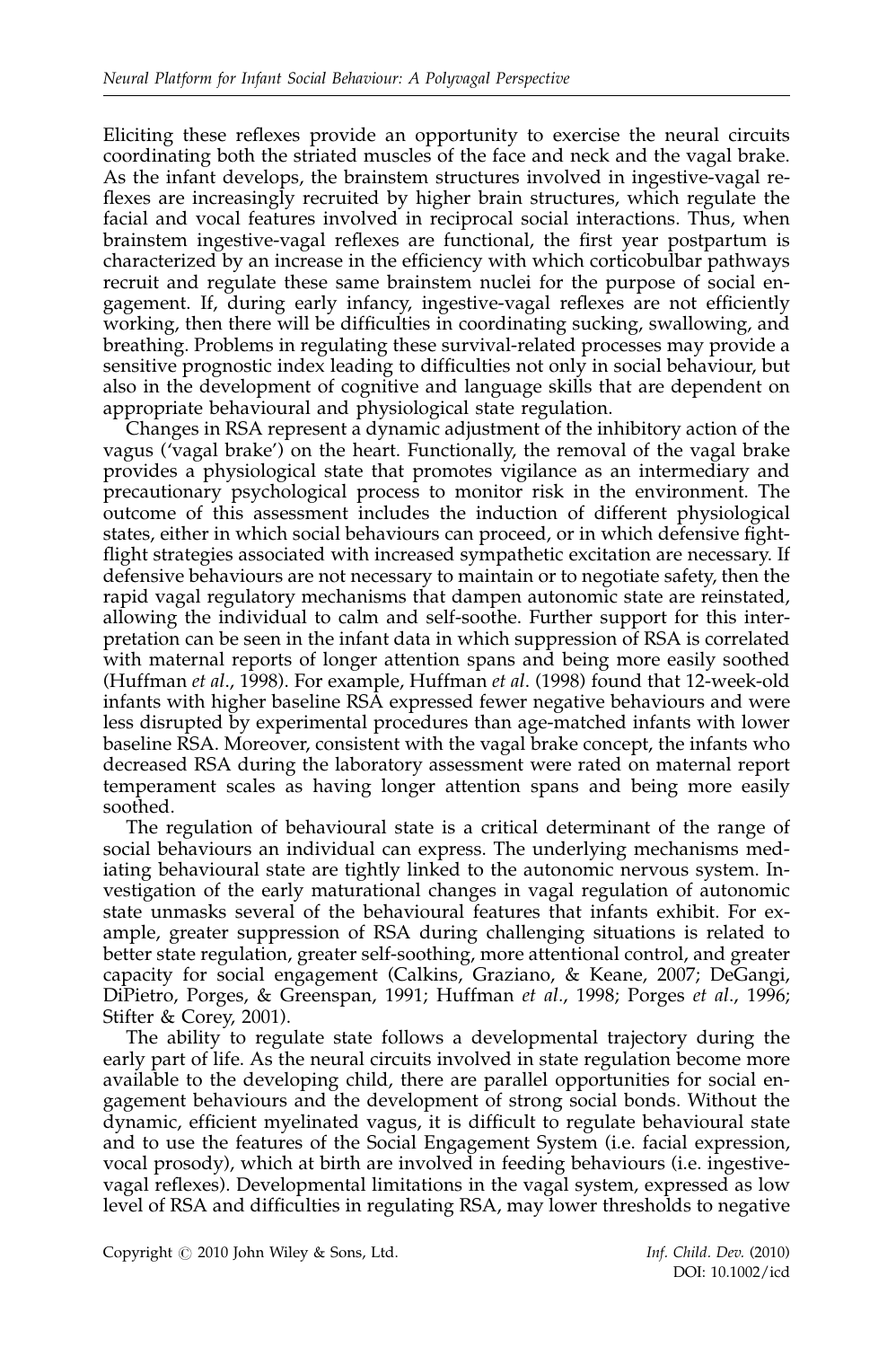Eliciting these reflexes provide an opportunity to exercise the neural circuits coordinating both the striated muscles of the face and neck and the vagal brake. As the infant develops, the brainstem structures involved in ingestive-vagal reflexes are increasingly recruited by higher brain structures, which regulate the facial and vocal features involved in reciprocal social interactions. Thus, when brainstem ingestive-vagal reflexes are functional, the first year postpartum is characterized by an increase in the efficiency with which corticobulbar pathways recruit and regulate these same brainstem nuclei for the purpose of social engagement. If, during early infancy, ingestive-vagal reflexes are not efficiently working, then there will be difficulties in coordinating sucking, swallowing, and breathing. Problems in regulating these survival-related processes may provide a sensitive prognostic index leading to difficulties not only in social behaviour, but also in the development of cognitive and language skills that are dependent on appropriate behavioural and physiological state regulation.

Changes in RSA represent a dynamic adjustment of the inhibitory action of the vagus ('vagal brake') on the heart. Functionally, the removal of the vagal brake provides a physiological state that promotes vigilance as an intermediary and precautionary psychological process to monitor risk in the environment. The outcome of this assessment includes the induction of different physiological states, either in which social behaviours can proceed, or in which defensive fightflight strategies associated with increased sympathetic excitation are necessary. If defensive behaviours are not necessary to maintain or to negotiate safety, then the rapid vagal regulatory mechanisms that dampen autonomic state are reinstated, allowing the individual to calm and self-soothe. Further support for this interpretation can be seen in the infant data in which suppression of RSA is correlated with maternal reports of longer attention spans and being more easily soothed (Huffman et al., 1998). For example, Huffman et al. (1998) found that 12-week-old infants with higher baseline RSA expressed fewer negative behaviours and were less disrupted by experimental procedures than age-matched infants with lower baseline RSA. Moreover, consistent with the vagal brake concept, the infants who decreased RSA during the laboratory assessment were rated on maternal report temperament scales as having longer attention spans and being more easily soothed.

The regulation of behavioural state is a critical determinant of the range of social behaviours an individual can express. The underlying mechanisms mediating behavioural state are tightly linked to the autonomic nervous system. Investigation of the early maturational changes in vagal regulation of autonomic state unmasks several of the behavioural features that infants exhibit. For example, greater suppression of RSA during challenging situations is related to better state regulation, greater self-soothing, more attentional control, and greater capacity for social engagement (Calkins, Graziano, & Keane, 2007; DeGangi, DiPietro, Porges, & Greenspan, 1991; Huffman et al., 1998; Porges et al., 1996; Stifter & Corey, 2001).

The ability to regulate state follows a developmental trajectory during the early part of life. As the neural circuits involved in state regulation become more available to the developing child, there are parallel opportunities for social engagement behaviours and the development of strong social bonds. Without the dynamic, efficient myelinated vagus, it is difficult to regulate behavioural state and to use the features of the Social Engagement System (i.e. facial expression, vocal prosody), which at birth are involved in feeding behaviours (i.e. ingestivevagal reflexes). Developmental limitations in the vagal system, expressed as low level of RSA and difficulties in regulating RSA, may lower thresholds to negative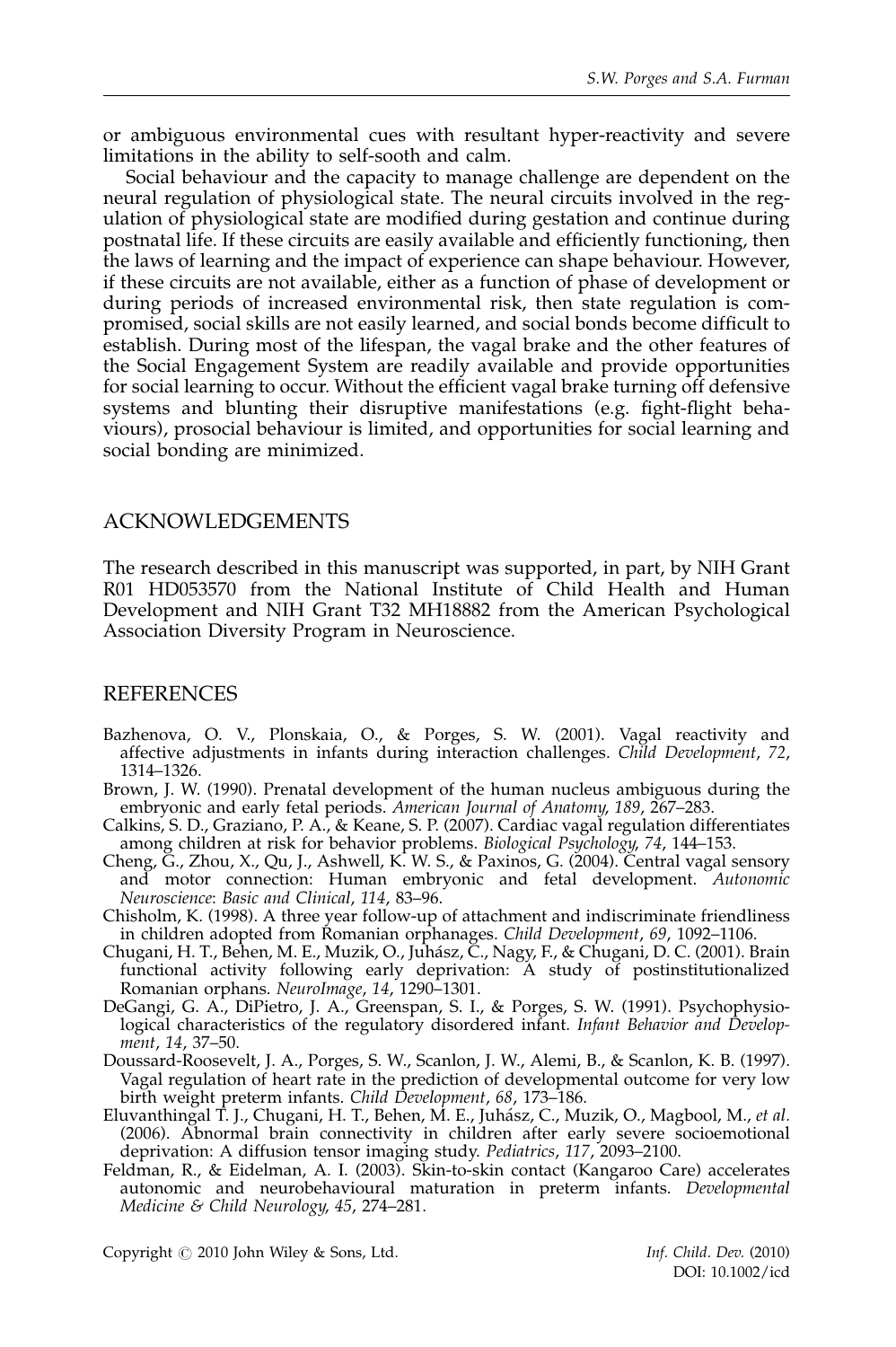or ambiguous environmental cues with resultant hyper-reactivity and severe limitations in the ability to self-sooth and calm.

Social behaviour and the capacity to manage challenge are dependent on the neural regulation of physiological state. The neural circuits involved in the regulation of physiological state are modified during gestation and continue during postnatal life. If these circuits are easily available and efficiently functioning, then the laws of learning and the impact of experience can shape behaviour. However, if these circuits are not available, either as a function of phase of development or during periods of increased environmental risk, then state regulation is compromised, social skills are not easily learned, and social bonds become difficult to establish. During most of the lifespan, the vagal brake and the other features of the Social Engagement System are readily available and provide opportunities for social learning to occur. Without the efficient vagal brake turning off defensive systems and blunting their disruptive manifestations (e.g. fight-flight behaviours), prosocial behaviour is limited, and opportunities for social learning and social bonding are minimized.

#### ACKNOWLEDGEMENTS

The research described in this manuscript was supported, in part, by NIH Grant R01 HD053570 from the National Institute of Child Health and Human Development and NIH Grant T32 MH18882 from the American Psychological Association Diversity Program in Neuroscience.

#### **REFERENCES**

- Bazhenova, O. V., Plonskaia, O., & Porges, S. W. (2001). Vagal reactivity and affective adjustments in infants during interaction challenges. Child Development, 72, 1314–1326.
- Brown, J. W. (1990). Prenatal development of the human nucleus ambiguous during the embryonic and early fetal periods. American Journal of Anatomy, 189, 267-283.
- Calkins, S. D., Graziano, P. A., & Keane, S. P. (2007). Cardiac vagal regulation differentiates among children at risk for behavior problems. Biological Psychology, 74, 144–153.
- Cheng, G., Zhou, X., Qu, J., Ashwell, K. W. S., & Paxinos, G. (2004). Central vagal sensory and motor connection: Human embryonic and fetal development. Autonomic Neuroscience: Basic and Clinical, 114, 83–96.
- Chisholm, K. (1998). A three year follow-up of attachment and indiscriminate friendliness in children adopted from Romanian orphanages. Child Development, 69, 1092–1106.
- Chugani, H. T., Behen, M. E., Muzik, O., Juhász, C., Nagy, F., & Chugani, D. C. (2001). Brain functional activity following early deprivation: A study of postinstitutionalized Romanian orphans. NeuroImage, 14, 1290–1301.
- DeGangi, G. A., DiPietro, J. A., Greenspan, S. I., & Porges, S. W. (1991). Psychophysiological characteristics of the regulatory disordered infant. Infant Behavior and Development, 14, 37–50.
- Doussard-Roosevelt, J. A., Porges, S. W., Scanlon, J. W., Alemi, B., & Scanlon, K. B. (1997). Vagal regulation of heart rate in the prediction of developmental outcome for very low birth weight preterm infants. Child Development, 68, 173–186.
- Eluvanthingal T. J., Chugani, H. T., Behen, M. E., Juhász, C., Muzik, O., Magbool, M., et al. (2006). Abnormal brain connectivity in children after early severe socioemotional deprivation: A diffusion tensor imaging study. Pediatrics, 117, 2093–2100.
- Feldman, R., & Eidelman, A. I. (2003). Skin-to-skin contact (Kangaroo Care) accelerates autonomic and neurobehavioural maturation in preterm infants. Developmental Medicine & Child Neurology, 45, 274–281.

Copyright © 2010 John Wiley & Sons, Ltd. Inf. Child. Dev. (2010)